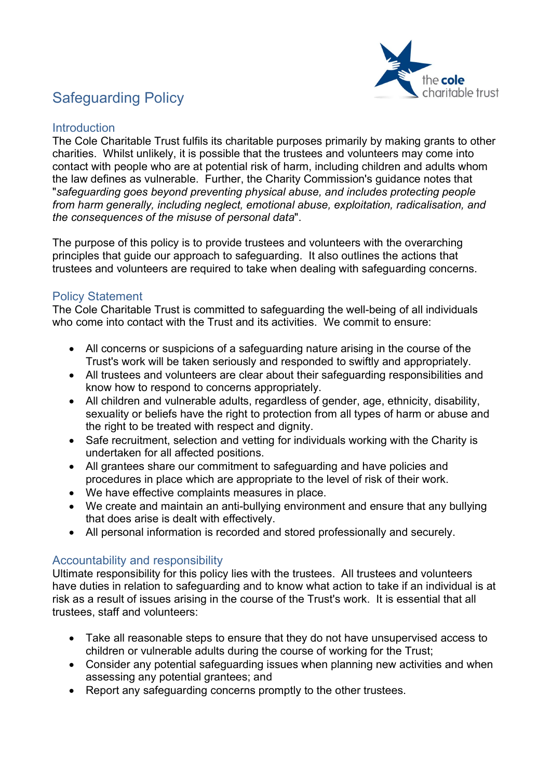

# Safeguarding Policy

#### **Introduction**

The Cole Charitable Trust fulfils its charitable purposes primarily by making grants to other charities. Whilst unlikely, it is possible that the trustees and volunteers may come into contact with people who are at potential risk of harm, including children and adults whom the law defines as vulnerable. Further, the Charity Commission's guidance notes that "safeguarding goes beyond preventing physical abuse, and includes protecting people from harm generally, including neglect, emotional abuse, exploitation, radicalisation, and the consequences of the misuse of personal data".

The purpose of this policy is to provide trustees and volunteers with the overarching principles that guide our approach to safeguarding. It also outlines the actions that trustees and volunteers are required to take when dealing with safeguarding concerns.

### Policy Statement

The Cole Charitable Trust is committed to safeguarding the well-being of all individuals who come into contact with the Trust and its activities. We commit to ensure:

- All concerns or suspicions of a safeguarding nature arising in the course of the Trust's work will be taken seriously and responded to swiftly and appropriately.
- All trustees and volunteers are clear about their safeguarding responsibilities and know how to respond to concerns appropriately.
- All children and vulnerable adults, regardless of gender, age, ethnicity, disability, sexuality or beliefs have the right to protection from all types of harm or abuse and the right to be treated with respect and dignity.
- Safe recruitment, selection and vetting for individuals working with the Charity is undertaken for all affected positions.
- All grantees share our commitment to safeguarding and have policies and procedures in place which are appropriate to the level of risk of their work.
- We have effective complaints measures in place.
- We create and maintain an anti-bullying environment and ensure that any bullying that does arise is dealt with effectively.
- All personal information is recorded and stored professionally and securely.

## Accountability and responsibility

Ultimate responsibility for this policy lies with the trustees. All trustees and volunteers have duties in relation to safeguarding and to know what action to take if an individual is at risk as a result of issues arising in the course of the Trust's work. It is essential that all trustees, staff and volunteers:

- Take all reasonable steps to ensure that they do not have unsupervised access to children or vulnerable adults during the course of working for the Trust;
- Consider any potential safeguarding issues when planning new activities and when assessing any potential grantees; and
- Report any safeguarding concerns promptly to the other trustees.